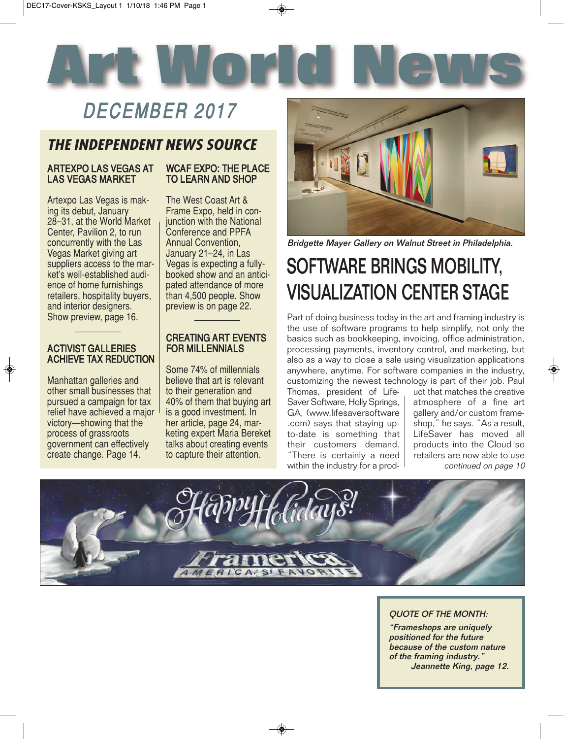

### DECEMBER 2017

### *THE INDEPENDENT NEWS SOURCE*

### ARTEXPO LAS VEGAS AT LAS VEGAS MARKET

Artexpo Las Vegas is making its debut, January 28–31, at the World Market Center, Pavilion 2, to run concurrently with the Las Vegas Market giving art suppliers access to the market's well-established audience of home furnishings retailers, hospitality buyers, and interior designers. Show preview, page 16.

### ACTIVIST GALLERIES ACHIEVE TAX REDUCTION

Manhattan galleries and other small businesses that pursued a campaign for tax relief have achieved a major victory—showing that the process of grassroots government can effectively create change. Page 14.

### WCAF EXPO: THE PLACE TO LEARN AND SHOP

The West Coast Art & Frame Expo, held in conjunction with the National Conference and PPFA Annual Convention, January 21–24, in Las Vegas is expecting a fullybooked show and an anticipated attendance of more than 4,500 people. Show preview is on page 22.

### CREATING ART EVENTS FOR MILLENNIALS

Some 74% of millennials believe that art is relevant to their generation and 40% of them that buying art is a good investment. In her article, page 24, marketing expert Maria Bereket talks about creating events to capture their attention.



Bridgette Mayer Gallery on Walnut Street in Philadelphia.

## SOFTWARE BRINGS MOBILITY, VISUALIZATION CENTER STAGE

Part of doing business today in the art and framing industry is the use of software programs to help simplify, not only the basics such as bookkeeping, invoicing, office administration, processing payments, inventory control, and marketing, but also as a way to close a sale using visualization applications anywhere, anytime. For software companies in the industry, customizing the newest technology is part of their job. Paul

Thomas, president of Life-Saver Software, Holly Springs, GA, (www.lifesaversoftware .com) says that staying upto-date is something that their customers demand. "There is certainly a need within the industry for a product that matches the creative atmosphere of a fine art gallery and/or custom frameshop," he says. "As a result, LifeSaver has moved all products into the Cloud so retailers are now able to use continued on page 10



### QUOTE OF THE MONTH:

"Frameshops are uniquely positioned for the future because of the custom nature of the framing industry." Jeannette King, page 12.